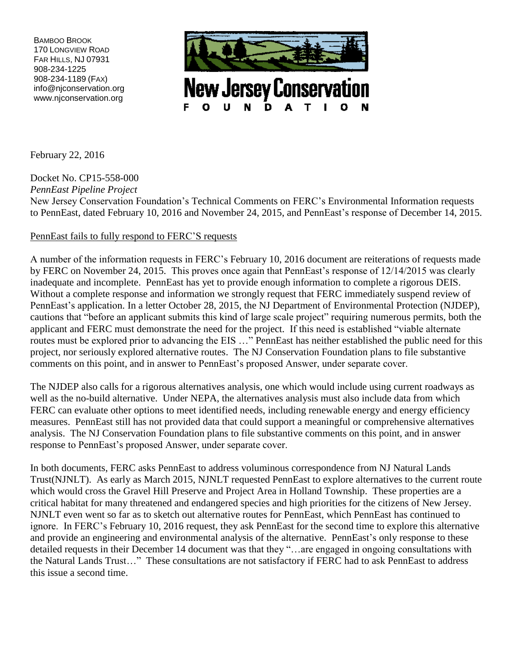BAMBOO BROOK 170 LONGVIEW ROAD FAR HILLS, NJ 07931 908-234-1225 908-234-1189 (FAX) info@njconservation.org www.njconservation.org



**New Jersey Conservation** N D

February 22, 2016

Docket No. CP15-558-000 *PennEast Pipeline Project* New Jersey Conservation Foundation's Technical Comments on FERC's Environmental Information requests to PennEast, dated February 10, 2016 and November 24, 2015, and PennEast's response of December 14, 2015.

## PennEast fails to fully respond to FERC'S requests

A number of the information requests in FERC's February 10, 2016 document are reiterations of requests made by FERC on November 24, 2015. This proves once again that PennEast's response of 12/14/2015 was clearly inadequate and incomplete. PennEast has yet to provide enough information to complete a rigorous DEIS. Without a complete response and information we strongly request that FERC immediately suspend review of PennEast's application. In a letter October 28, 2015, the NJ Department of Environmental Protection (NJDEP), cautions that "before an applicant submits this kind of large scale project" requiring numerous permits, both the applicant and FERC must demonstrate the need for the project. If this need is established "viable alternate routes must be explored prior to advancing the EIS …" PennEast has neither established the public need for this project, nor seriously explored alternative routes. The NJ Conservation Foundation plans to file substantive comments on this point, and in answer to PennEast's proposed Answer, under separate cover.

The NJDEP also calls for a rigorous alternatives analysis, one which would include using current roadways as well as the no-build alternative. Under NEPA, the alternatives analysis must also include data from which FERC can evaluate other options to meet identified needs, including renewable energy and energy efficiency measures. PennEast still has not provided data that could support a meaningful or comprehensive alternatives analysis. The NJ Conservation Foundation plans to file substantive comments on this point, and in answer response to PennEast's proposed Answer, under separate cover.

In both documents, FERC asks PennEast to address voluminous correspondence from NJ Natural Lands Trust(NJNLT). As early as March 2015, NJNLT requested PennEast to explore alternatives to the current route which would cross the Gravel Hill Preserve and Project Area in Holland Township. These properties are a critical habitat for many threatened and endangered species and high priorities for the citizens of New Jersey. NJNLT even went so far as to sketch out alternative routes for PennEast, which PennEast has continued to ignore. In FERC's February 10, 2016 request, they ask PennEast for the second time to explore this alternative and provide an engineering and environmental analysis of the alternative. PennEast's only response to these detailed requests in their December 14 document was that they "…are engaged in ongoing consultations with the Natural Lands Trust…" These consultations are not satisfactory if FERC had to ask PennEast to address this issue a second time.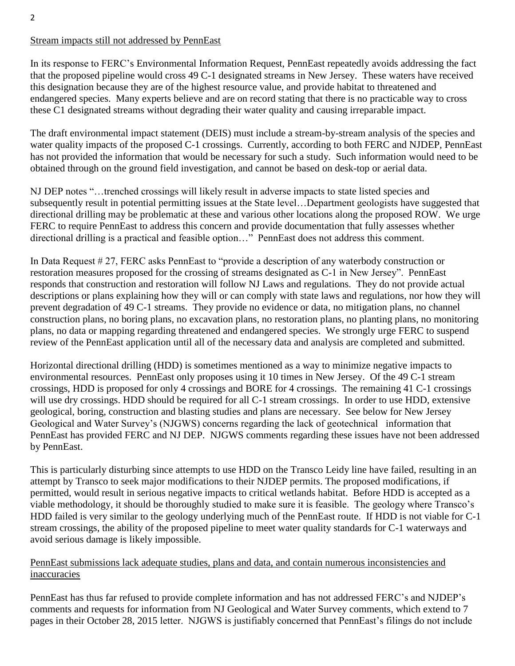# Stream impacts still not addressed by PennEast

In its response to FERC's Environmental Information Request, PennEast repeatedly avoids addressing the fact that the proposed pipeline would cross 49 C-1 designated streams in New Jersey. These waters have received this designation because they are of the highest resource value, and provide habitat to threatened and endangered species. Many experts believe and are on record stating that there is no practicable way to cross these C1 designated streams without degrading their water quality and causing irreparable impact.

The draft environmental impact statement (DEIS) must include a stream-by-stream analysis of the species and water quality impacts of the proposed C-1 crossings. Currently, according to both FERC and NJDEP, PennEast has not provided the information that would be necessary for such a study. Such information would need to be obtained through on the ground field investigation, and cannot be based on desk-top or aerial data.

NJ DEP notes "…trenched crossings will likely result in adverse impacts to state listed species and subsequently result in potential permitting issues at the State level…Department geologists have suggested that directional drilling may be problematic at these and various other locations along the proposed ROW. We urge FERC to require PennEast to address this concern and provide documentation that fully assesses whether directional drilling is a practical and feasible option…" PennEast does not address this comment.

In Data Request # 27, FERC asks PennEast to "provide a description of any waterbody construction or restoration measures proposed for the crossing of streams designated as C-1 in New Jersey". PennEast responds that construction and restoration will follow NJ Laws and regulations. They do not provide actual descriptions or plans explaining how they will or can comply with state laws and regulations, nor how they will prevent degradation of 49 C-1 streams. They provide no evidence or data, no mitigation plans, no channel construction plans, no boring plans, no excavation plans, no restoration plans, no planting plans, no monitoring plans, no data or mapping regarding threatened and endangered species. We strongly urge FERC to suspend review of the PennEast application until all of the necessary data and analysis are completed and submitted.

Horizontal directional drilling (HDD) is sometimes mentioned as a way to minimize negative impacts to environmental resources. PennEast only proposes using it 10 times in New Jersey. Of the 49 C-1 stream crossings, HDD is proposed for only 4 crossings and BORE for 4 crossings. The remaining 41 C-1 crossings will use dry crossings. HDD should be required for all C-1 stream crossings. In order to use HDD, extensive geological, boring, construction and blasting studies and plans are necessary. See below for New Jersey Geological and Water Survey's (NJGWS) concerns regarding the lack of geotechnical information that PennEast has provided FERC and NJ DEP. NJGWS comments regarding these issues have not been addressed by PennEast.

This is particularly disturbing since attempts to use HDD on the Transco Leidy line have failed, resulting in an attempt by Transco to seek major modifications to their NJDEP permits. The proposed modifications, if permitted, would result in serious negative impacts to critical wetlands habitat. Before HDD is accepted as a viable methodology, it should be thoroughly studied to make sure it is feasible. The geology where Transco's HDD failed is very similar to the geology underlying much of the PennEast route. If HDD is not viable for C-1 stream crossings, the ability of the proposed pipeline to meet water quality standards for C-1 waterways and avoid serious damage is likely impossible.

### PennEast submissions lack adequate studies, plans and data, and contain numerous inconsistencies and inaccuracies

PennEast has thus far refused to provide complete information and has not addressed FERC's and NJDEP's comments and requests for information from NJ Geological and Water Survey comments, which extend to 7 pages in their October 28, 2015 letter. NJGWS is justifiably concerned that PennEast's filings do not include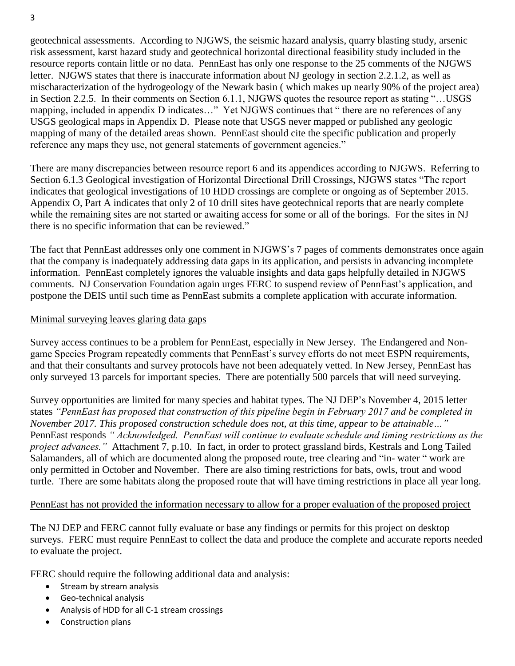geotechnical assessments. According to NJGWS, the seismic hazard analysis, quarry blasting study, arsenic risk assessment, karst hazard study and geotechnical horizontal directional feasibility study included in the resource reports contain little or no data. PennEast has only one response to the 25 comments of the NJGWS letter. NJGWS states that there is inaccurate information about NJ geology in section 2.2.1.2, as well as mischaracterization of the hydrogeology of the Newark basin ( which makes up nearly 90% of the project area) in Section 2.2.5. In their comments on Section 6.1.1, NJGWS quotes the resource report as stating "…USGS mapping, included in appendix D indicates…" Yet NJGWS continues that " there are no references of any USGS geological maps in Appendix D. Please note that USGS never mapped or published any geologic mapping of many of the detailed areas shown. PennEast should cite the specific publication and properly reference any maps they use, not general statements of government agencies."

There are many discrepancies between resource report 6 and its appendices according to NJGWS. Referring to Section 6.1.3 Geological investigation of Horizontal Directional Drill Crossings, NJGWS states "The report indicates that geological investigations of 10 HDD crossings are complete or ongoing as of September 2015. Appendix O, Part A indicates that only 2 of 10 drill sites have geotechnical reports that are nearly complete while the remaining sites are not started or awaiting access for some or all of the borings. For the sites in NJ there is no specific information that can be reviewed."

The fact that PennEast addresses only one comment in NJGWS's 7 pages of comments demonstrates once again that the company is inadequately addressing data gaps in its application, and persists in advancing incomplete information. PennEast completely ignores the valuable insights and data gaps helpfully detailed in NJGWS comments. NJ Conservation Foundation again urges FERC to suspend review of PennEast's application, and postpone the DEIS until such time as PennEast submits a complete application with accurate information.

### Minimal surveying leaves glaring data gaps

Survey access continues to be a problem for PennEast, especially in New Jersey. The Endangered and Nongame Species Program repeatedly comments that PennEast's survey efforts do not meet ESPN requirements, and that their consultants and survey protocols have not been adequately vetted. In New Jersey, PennEast has only surveyed 13 parcels for important species. There are potentially 500 parcels that will need surveying.

Survey opportunities are limited for many species and habitat types. The NJ DEP's November 4, 2015 letter states *"PennEast has proposed that construction of this pipeline begin in February 2017 and be completed in November 2017. This proposed construction schedule does not, at this time, appear to be attainable…"*  PennEast responds *" Acknowledged. PennEast will continue to evaluate schedule and timing restrictions as the project advances."* Attachment 7, p.10. In fact, in order to protect grassland birds, Kestrals and Long Tailed Salamanders, all of which are documented along the proposed route, tree clearing and "in- water " work are only permitted in October and November. There are also timing restrictions for bats, owls, trout and wood turtle. There are some habitats along the proposed route that will have timing restrictions in place all year long.

#### PennEast has not provided the information necessary to allow for a proper evaluation of the proposed project

The NJ DEP and FERC cannot fully evaluate or base any findings or permits for this project on desktop surveys. FERC must require PennEast to collect the data and produce the complete and accurate reports needed to evaluate the project.

FERC should require the following additional data and analysis:

- Stream by stream analysis
- Geo-technical analysis
- Analysis of HDD for all C-1 stream crossings
- Construction plans